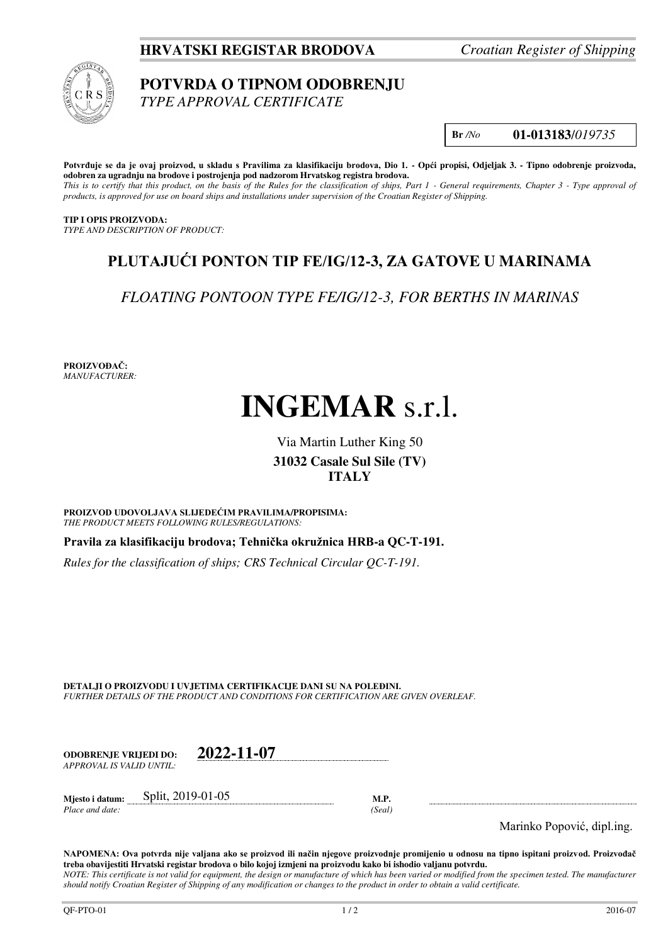**HRVATSKI REGISTAR BRODOVA** *Croatian Register of Shipping*



## **POTVRDA O TIPNOM ODOBRENJU**

*TYPE APPROVAL CERTIFICATE* 

**Br** */No* **01-013183**/*019735*

**Potvrđuje se da je ovaj proizvod, u skladu s Pravilima za klasifikaciju brodova, Dio 1. - Opći propisi, Odjeljak 3. - Tipno odobrenje proizvoda, odobren za ugradnju na brodove i postrojenja pod nadzorom Hrvatskog registra brodova.** 

*This is to certify that this product, on the basis of the Rules for the classification of ships, Part 1 - General requirements, Chapter 3 - Type approval of products, is approved for use on board ships and installations under supervision of the Croatian Register of Shipping.* 

**TIP I OPIS PROIZVODA:** *TYPE AND DESCRIPTION OF PRODUCT:* 

## **PLUTAJUĆI PONTON TIP FE/IG/12-3, ZA GATOVE U MARINAMA**

*FLOATING PONTOON TYPE FE/IG/12-3, FOR BERTHS IN MARINAS*

**PROIZVOĐAČ:** *MANUFACTURER:*

# **INGEMAR** s.r.l.

### Via Martin Luther King 50 **31032 Casale Sul Sile (TV) ITALY**

**PROIZVOD UDOVOLJAVA SLIJEDEĆIM PRAVILIMA/PROPISIMA:** *THE PRODUCT MEETS FOLLOWING RULES/REGULATIONS:* 

**Pravila za klasifikaciju brodova; Tehnička okružnica HRB-a QC-T-191.** 

*Rules for the classification of ships; CRS Technical Circular QC-T-191.*

**DETALJI O PROIZVODU I UVJETIMA CERTIFIKACIJE DANI SU NA POLEĐINI.** *FURTHER DETAILS OF THE PRODUCT AND CONDITIONS FOR CERTIFICATION ARE GIVEN OVERLEAF.* 

| ODOBREN.IE VRLIEDI DO:    | 2022-11-07 |
|---------------------------|------------|
| APPROVAL IS VALID UNTIL:- |            |

**Mjesto i datum:** Split, 2019-01-05 **M.P.**  *Place and date: (Seal)* 

Marinko Popović, dipl.ing.

**NAPOMENA: Ova potvrda nije valjana ako se proizvod ili način njegove proizvodnje promijenio u odnosu na tipno ispitani proizvod. Proizvođač treba obavijestiti Hrvatski registar brodova o bilo kojoj izmjeni na proizvodu kako bi ishodio valjanu potvrdu.**  *NOTE: This certificate is not valid for equipment, the design or manufacture of which has been varied or modified from the specimen tested. The manufacturer should notify Croatian Register of Shipping of any modification or changes to the product in order to obtain a valid certificate.*